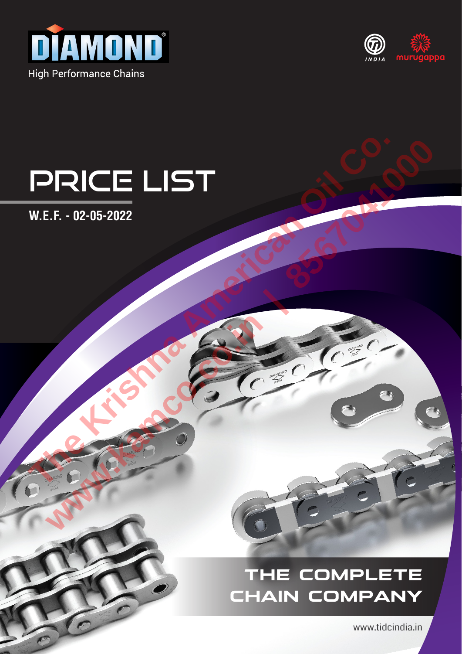



# Price List PRICE LIST **www.kamco.co.in | 8567041000**

**W.E.F. - 02-05-2022**

# **THE COMPLETE CHAIN COMPANY**

www.tidcindia.in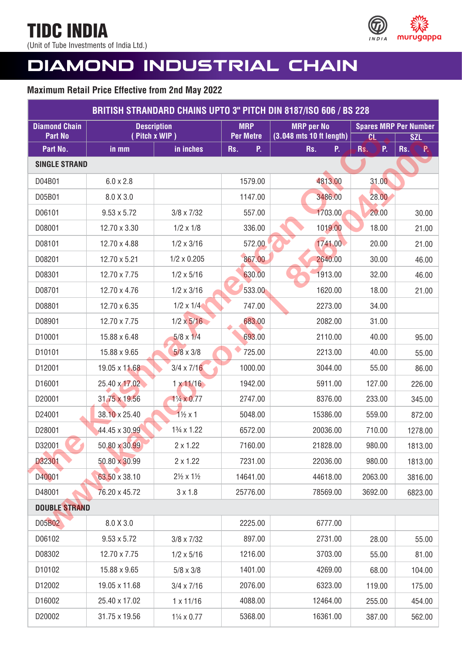(Unit of Tube Investments of India Ltd.)



# **DIAMOND INDUSTRIAL CHAIN**

| <b>BRITISH STRANDARD CHAINS UPTO 3" PITCH DIN 8187/ISO 606 / BS 228</b> |                    |                                     |                                |                                               |                        |                               |
|-------------------------------------------------------------------------|--------------------|-------------------------------------|--------------------------------|-----------------------------------------------|------------------------|-------------------------------|
| <b>Diamond Chain</b><br><b>Part No</b>                                  |                    | <b>Description</b><br>(Pitch x WIP) | <b>MRP</b><br><b>Per Metre</b> | <b>MRP</b> per No<br>(3.048 mts 10 ft length) |                        | <b>Spares MRP Per Number</b>  |
| Part No.                                                                | in mm              | in inches                           | P.<br>Rs.                      | Rs.<br>P.                                     | <b>CL</b><br>P.<br>Rs. | <b>SZL</b><br><b>P</b><br>Rs. |
| <b>SINGLE STRAND</b>                                                    |                    |                                     |                                |                                               |                        |                               |
| D04B01                                                                  | $6.0 \times 2.8$   |                                     | 1579.00                        | 4813.00                                       | 31.00                  |                               |
| D05B01                                                                  | 8.0 X 3.0          |                                     | 1147.00                        | 3486.00                                       | 28.00                  |                               |
| D06101                                                                  | $9.53 \times 5.72$ | $3/8 \times 7/32$                   | 557.00                         | 1703.00                                       | 20.00                  | 30.00                         |
| D08001                                                                  | 12.70 x 3.30       | $1/2 \times 1/8$                    | 336.00                         | 1019.00                                       | 18.00                  | 21.00                         |
| D08101                                                                  | 12.70 x 4.88       | $1/2 \times 3/16$                   | 572.00                         | 1741.00                                       | 20.00                  | 21.00                         |
| D08201                                                                  | 12.70 x 5.21       | $1/2 \times 0.205$                  | 867.00                         | 2640.00                                       | 30.00                  | 46.00                         |
| D08301                                                                  | 12.70 x 7.75       | $1/2 \times 5/16$                   | 630.00                         | 1913.00                                       | 32.00                  | 46.00                         |
| D08701                                                                  | 12.70 x 4.76       | $1/2 \times 3/16$                   | 533.00                         | 1620.00                                       | 18.00                  | 21.00                         |
| D08801                                                                  | 12.70 x 6.35       | $1/2 \times 1/4$                    | 747.00                         | 2273.00                                       | 34.00                  |                               |
| D08901                                                                  | 12.70 x 7.75       | $1/2 \times 5/16$                   | 683.00                         | 2082.00                                       | 31.00                  |                               |
| D10001                                                                  | 15.88 x 6.48       | $5/8 \times 1/4$                    | 693.00                         | 2110.00                                       | 40.00                  | 95.00                         |
| D10101                                                                  | 15.88 x 9.65       | $5/8 \times 3/8$                    | 725.00                         | 2213.00                                       | 40.00                  | 55.00                         |
| D12001                                                                  | 19.05 x 11.68      | $3/4 \times 7/16$                   | 1000.00                        | 3044.00                                       | 55.00                  | 86.00                         |
| D16001                                                                  | 25.40 x 17.02      | $1 \times 11/16$                    | 1942.00                        | 5911.00                                       | 127.00                 | 226.00                        |
| D20001                                                                  | 31.75 x 19.56      | $1\frac{1}{4} \times 0.77$          | 2747.00                        | 8376.00                                       | 233.00                 | 345.00                        |
| D24001                                                                  | 38.10 x 25.40      | $1\frac{1}{2} \times 1$             | 5048.00                        | 15386.00                                      | 559.00                 | 872.00                        |
| D28001                                                                  | 44.45 x 30.99      | 13/4 x 1.22                         | 6572.00                        | 20036.00                                      | 710.00                 | 1278.00                       |
| D32001                                                                  | 50.80 x 30.99      | $2 \times 1.22$                     | 7160.00                        | 21828.00                                      | 980.00                 | 1813.00                       |
| D32301                                                                  | 50.80 x 30.99      | $2 \times 1.22$                     | 7231.00                        | 22036.00                                      | 980.00                 | 1813.00                       |
| D40001                                                                  | 63.50 x 38.10      | $2\frac{1}{2} \times 1\frac{1}{2}$  | 14641.00                       | 44618.00                                      | 2063.00                | 3816.00                       |
| D48001                                                                  | 76.20 x 45.72      | $3 \times 1.8$                      | 25776.00                       | 78569.00                                      | 3692.00                | 6823.00                       |
| <b>DOUBLE STRAND</b>                                                    |                    |                                     |                                |                                               |                        |                               |
| D05B02                                                                  | 8.0 X 3.0          |                                     | 2225.00                        | 6777.00                                       |                        |                               |
| D06102                                                                  | $9.53 \times 5.72$ | $3/8 \times 7/32$                   | 897.00                         | 2731.00                                       | 28.00                  | 55.00                         |
| D08302                                                                  | 12.70 x 7.75       | $1/2 \times 5/16$                   | 1216.00                        | 3703.00                                       | 55.00                  | 81.00                         |
| D10102                                                                  | 15.88 x 9.65       | $5/8 \times 3/8$                    | 1401.00                        | 4269.00                                       | 68.00                  | 104.00                        |
| D12002                                                                  | 19.05 x 11.68      | $3/4 \times 7/16$                   | 2076.00                        | 6323.00                                       | 119.00                 | 175.00                        |
| D16002                                                                  | 25.40 x 17.02      | $1 \times 11/16$                    | 4088.00                        | 12464.00                                      | 255.00                 | 454.00                        |
| D20002                                                                  | 31.75 x 19.56      | 11/4 x 0.77                         | 5368.00                        | 16361.00                                      | 387.00                 | 562.00                        |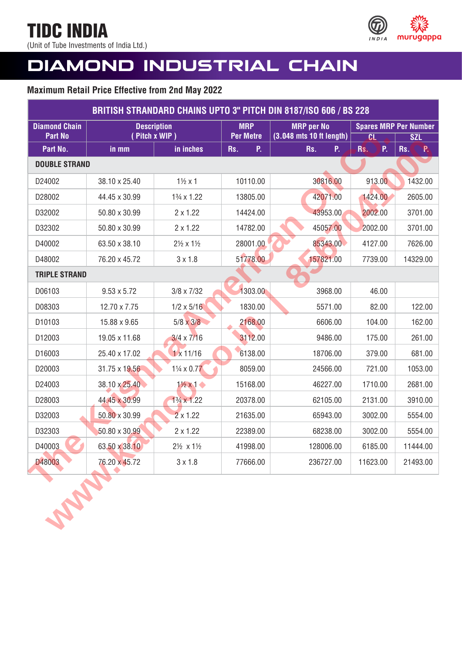(Unit of Tube Investments of India Ltd.)



# **DIAMOND INDUSTRIAL CHAIN**

|                            |                    |                                    |                               | <b>BRITISH STRANDARD CHAINS UPTO 3" PITCH DIN 8187/ISO 606 / BS 228</b> |                              |                               |
|----------------------------|--------------------|------------------------------------|-------------------------------|-------------------------------------------------------------------------|------------------------------|-------------------------------|
| <b>Diamond Chain</b>       |                    | <b>Description</b>                 | <b>MRP</b>                    | <b>MRP</b> per No                                                       | <b>Spares MRP Per Number</b> |                               |
| <b>Part No</b><br>Part No. | in mm              | (Pitch x WIP)<br>in inches         | <b>Per Metre</b><br>Rs.<br>P. | (3.048 mts 10 ft length)<br>Rs.<br>P.                                   | <b>CL</b><br>P.<br>Rs.       | <b>SZL</b><br>Rs.<br><b>P</b> |
| <b>DOUBLE STRAND</b>       |                    |                                    |                               |                                                                         |                              |                               |
|                            |                    |                                    |                               |                                                                         |                              |                               |
| D24002                     | 38.10 x 25.40      | $1\frac{1}{2}x1$                   | 10110.00                      | 30816.00                                                                | 913.00                       | 1432.00                       |
| D28002                     | 44.45 x 30.99      | $1\frac{3}{4} \times 1.22$         | 13805.00                      | 42071.00                                                                | 1424.00                      | 2605.00                       |
| D32002                     | 50.80 x 30.99      | $2 \times 1.22$                    | 14424.00                      | 43953.00                                                                | 2002.00                      | 3701.00                       |
| D32302                     | 50.80 x 30.99      | $2 \times 1.22$                    | 14782.00                      | 45057.00                                                                | 2002.00                      | 3701.00                       |
| D40002                     | 63.50 x 38.10      | $2\frac{1}{2} \times 1\frac{1}{2}$ | 28001.00                      | 85343.00                                                                | 4127.00                      | 7626.00                       |
| D48002                     | 76.20 x 45.72      | $3 \times 1.8$                     | 51778.00                      | 157821.00                                                               | 7739.00                      | 14329.00                      |
| <b>TRIPLE STRAND</b>       |                    |                                    |                               |                                                                         |                              |                               |
| D06103                     | $9.53 \times 5.72$ | $3/8 \times 7/32$                  | 1303.00                       | 3968.00                                                                 | 46.00                        |                               |
| D08303                     | 12.70 x 7.75       | $1/2 \times 5/16$                  | 1830.00                       | 5571.00                                                                 | 82.00                        | 122.00                        |
| D10103                     | 15.88 x 9.65       | $5/8 \times 3/8$                   | 2168.00                       | 6606.00                                                                 | 104.00                       | 162.00                        |
| D12003                     | 19.05 x 11.68      | $3/4 \times 7/16$                  | 3112.00                       | 9486.00                                                                 | 175.00                       | 261.00                        |
| D16003                     | 25.40 x 17.02      | $1 \times 11/16$                   | 6138.00                       | 18706.00                                                                | 379.00                       | 681.00                        |
| D20003                     | 31.75 x 19.56      | $1\frac{1}{4} \times 0.77$         | 8059.00                       | 24566.00                                                                | 721.00                       | 1053.00                       |
| D24003                     | 38.10 x 25.40      | $1\frac{1}{2} \times 1$            | 15168.00                      | 46227.00                                                                | 1710.00                      | 2681.00                       |
| D28003                     | 44.45 x 30.99      | $1\frac{3}{4} \times 1.22$         | 20378.00                      | 62105.00                                                                | 2131.00                      | 3910.00                       |
| D32003                     | 50.80 x 30.99      | $2 \times 1.22$                    | 21635.00                      | 65943.00                                                                | 3002.00                      | 5554.00                       |
| D32303                     | 50.80 x 30.99      | $2 \times 1.22$                    | 22389.00                      | 68238.00                                                                | 3002.00                      | 5554.00                       |
| D40003                     | 63.50 x 38.10      | 2½ x 1½                            | 41998.00                      | 128006.00                                                               | 6185.00                      | 11444.00                      |
| D48003                     | 76.20 x 45.72      | $3 \times 1.8$                     | 77666.00                      | 236727.00                                                               | 11623.00                     | 21493.00                      |
|                            |                    |                                    |                               |                                                                         |                              |                               |

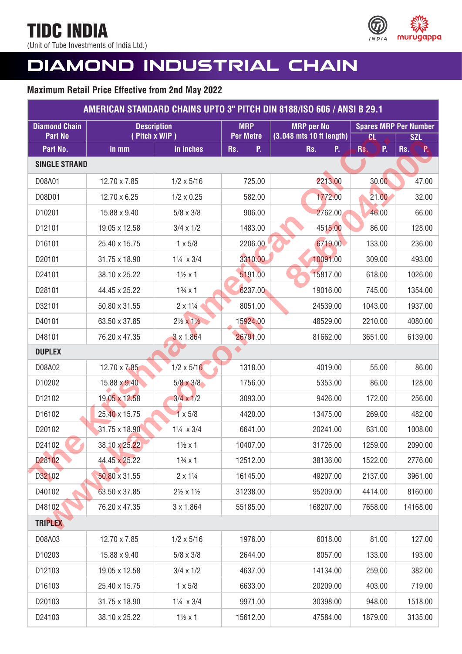(Unit of Tube Investments of India Ltd.)



# **DIAMOND INDUSTRIAL CHAIN**

| AMERICAN STANDARD CHAINS UPTO 3" PITCH DIN 8188/ISO 606 / ANSI B 29.1 |                                     |                                    |                                |                                               |           |                                            |  |
|-----------------------------------------------------------------------|-------------------------------------|------------------------------------|--------------------------------|-----------------------------------------------|-----------|--------------------------------------------|--|
| <b>Diamond Chain</b><br><b>Part No</b>                                | <b>Description</b><br>(Pitch x WIP) |                                    | <b>MRP</b><br><b>Per Metre</b> | <b>MRP</b> per No<br>(3.048 mts 10 ft length) | <b>GL</b> | <b>Spares MRP Per Number</b><br><b>SZL</b> |  |
| Part No.                                                              | in mm                               | in inches                          | Rs.<br>P.                      | Rs.<br>P.                                     | P.<br>Rs. | Rs.<br><b>P</b>                            |  |
| <b>SINGLE STRAND</b>                                                  |                                     |                                    |                                |                                               |           |                                            |  |
| D08A01                                                                | 12.70 x 7.85                        | $1/2 \times 5/16$                  | 725.00                         | 2213.00                                       | 30.00     | 47.00                                      |  |
| D08D01                                                                | 12.70 x 6.25                        | $1/2 \times 0.25$                  | 582.00                         | 1772.00                                       | 21.00     | 32.00                                      |  |
| D10201                                                                | 15.88 x 9.40                        | $5/8 \times 3/8$                   | 906.00                         | 2762.00                                       | 46.00     | 66.00                                      |  |
| D12101                                                                | 19.05 x 12.58                       | $3/4 \times 1/2$                   | 1483.00                        | 4515.00                                       | 86.00     | 128.00                                     |  |
| D16101                                                                | 25.40 x 15.75                       | $1 \times 5/8$                     | 2206.00                        | 6719.00                                       | 133.00    | 236.00                                     |  |
| D20101                                                                | 31.75 x 18.90                       | $1\frac{1}{4} \times 3/4$          | 3310.00                        | 10091.00                                      | 309.00    | 493.00                                     |  |
| D24101                                                                | 38.10 x 25.22                       | $1\frac{1}{2} \times 1$            | 5191.00                        | 15817.00                                      | 618.00    | 1026.00                                    |  |
| D28101                                                                | 44.45 x 25.22                       | $1\frac{3}{4} \times 1$            | 6237.00                        | 19016.00                                      | 745.00    | 1354.00                                    |  |
| D32101                                                                | 50.80 x 31.55                       | $2 \times 1\frac{1}{4}$            | 8051.00                        | 24539.00                                      | 1043.00   | 1937.00                                    |  |
| D40101                                                                | 63.50 x 37.85                       | $2\frac{1}{2} \times 1\frac{1}{2}$ | 15924.00                       | 48529.00                                      | 2210.00   | 4080.00                                    |  |
| D48101                                                                | 76.20 x 47.35                       | 3x1.864                            | 26791.00                       | 81662.00                                      | 3651.00   | 6139.00                                    |  |
| <b>DUPLEX</b>                                                         |                                     |                                    |                                |                                               |           |                                            |  |
| D08A02                                                                | 12.70 x 7.85                        | $1/2 \times 5/16$                  | 1318.00                        | 4019.00                                       | 55.00     | 86.00                                      |  |
| D10202                                                                | 15.88 x 9.40                        | $5/8 \times 3/8$                   | 1756.00                        | 5353.00                                       | 86.00     | 128.00                                     |  |
| D12102                                                                | 19.05 x 12.58                       | $3/4 \times 1/2$                   | 3093.00                        | 9426.00                                       | 172.00    | 256.00                                     |  |
| D16102                                                                | 25.40 x 15.75                       | $1 \times 5/8$                     | 4420.00                        | 13475.00                                      | 269.00    | 482.00                                     |  |
| D20102                                                                | 31.75 x 18.90                       | $1\frac{1}{4} \times 3/4$          | 6641.00                        | 20241.00                                      | 631.00    | 1008.00                                    |  |
| D24102                                                                | 38.10 x 25.22                       | $1\frac{1}{2} \times 1$            | 10407.00                       | 31726.00                                      | 1259.00   | 2090.00                                    |  |
| D28102                                                                | 44.45 x 25.22                       | $1\frac{3}{4} \times 1$            | 12512.00                       | 38136.00                                      | 1522.00   | 2776.00                                    |  |
| D32102                                                                | 50.80 x 31.55                       | $2 \times 1\frac{1}{4}$            | 16145.00                       | 49207.00                                      | 2137.00   | 3961.00                                    |  |
| D40102                                                                | 63.50 x 37.85                       | $2\frac{1}{2} \times 1\frac{1}{2}$ | 31238.00                       | 95209.00                                      | 4414.00   | 8160.00                                    |  |
| D48102                                                                | 76.20 x 47.35                       | 3 x 1.864                          | 55185.00                       | 168207.00                                     | 7658.00   | 14168.00                                   |  |
| <b>TRIPLEX</b>                                                        |                                     |                                    |                                |                                               |           |                                            |  |
| D08A03                                                                | 12.70 x 7.85                        | $1/2 \times 5/16$                  | 1976.00                        | 6018.00                                       | 81.00     | 127.00                                     |  |
| D10203                                                                | 15.88 x 9.40                        | $5/8 \times 3/8$                   | 2644.00                        | 8057.00                                       | 133.00    | 193.00                                     |  |
| D12103                                                                | 19.05 x 12.58                       | $3/4 \times 1/2$                   | 4637.00                        | 14134.00                                      | 259.00    | 382.00                                     |  |
| D16103                                                                | 25.40 x 15.75                       | $1 \times 5/8$                     | 6633.00                        | 20209.00                                      | 403.00    | 719.00                                     |  |
| D20103                                                                | 31.75 x 18.90                       | $1\frac{1}{4} \times 3/4$          | 9971.00                        | 30398.00                                      | 948.00    | 1518.00                                    |  |
| D24103                                                                | 38.10 x 25.22                       | $1\frac{1}{2}x1$                   | 15612.00                       | 47584.00                                      | 1879.00   | 3135.00                                    |  |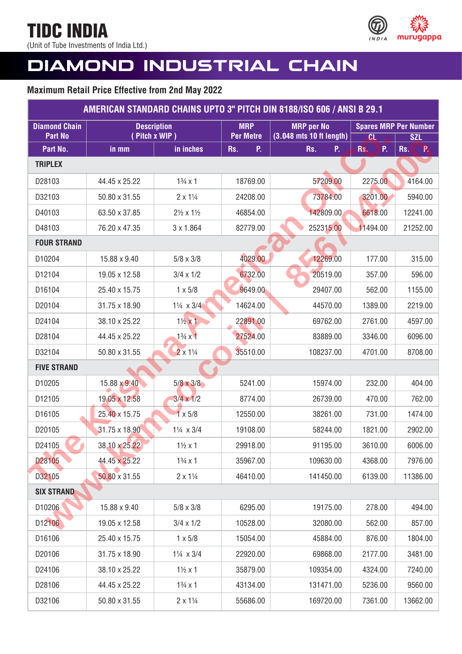(Unit of Tube Investments of India Ltd.)



# **DIAMOND INDUSTRIAL CHAIN**

| AMERICAN STANDARD CHAINS UPTO 3" PITCH DIN 8188/ISO 606 / ANSI B 29.1 |               |                                     |                                |                                               |                        |                              |
|-----------------------------------------------------------------------|---------------|-------------------------------------|--------------------------------|-----------------------------------------------|------------------------|------------------------------|
| <b>Diamond Chain</b><br><b>Part No</b>                                |               | <b>Description</b><br>(Pitch x WIP) | <b>MRP</b><br><b>Per Metre</b> | <b>MRP</b> per No<br>(3.048 mts 10 ft length) |                        | <b>Spares MRP Per Number</b> |
| Part No.                                                              | in mm         | in inches                           | P.<br>Rs.                      | P.<br>Rs.                                     | <b>CL</b><br>P.<br>Rs. | <b>SZL</b><br>Rs.<br>P.      |
| <b>TRIPLEX</b>                                                        |               |                                     |                                |                                               |                        |                              |
| D28103                                                                | 44.45 x 25.22 | $1\frac{3}{4} \times 1$             | 18769.00                       | 57209.00                                      | 2275.00                | 4164.00                      |
| D32103                                                                | 50.80 x 31.55 | $2 \times 1\frac{1}{4}$             | 24208.00                       | 73784.00                                      | 3201.00                | 5940.00                      |
| D40103                                                                | 63.50 x 37.85 | $2\frac{1}{2} \times 1\frac{1}{2}$  | 46854.00                       | 142809.00                                     | 6618.00                | 12241.00                     |
| D48103                                                                | 76.20 x 47.35 | $3 \times 1.864$                    | 82779.00                       | 252315.00                                     | 11494.00               | 21252.00                     |
| <b>FOUR STRAND</b>                                                    |               |                                     |                                |                                               |                        |                              |
| D10204                                                                | 15.88 x 9.40  | $5/8 \times 3/8$                    | 4029.00                        | 12269.00                                      | 177.00                 | 315.00                       |
| D12104                                                                | 19.05 x 12.58 | $3/4 \times 1/2$                    | 6732.00                        | 20519.00                                      | 357.00                 | 596.00                       |
| D16104                                                                | 25.40 x 15.75 | $1 \times 5/8$                      | 9649.00                        | 29407.00                                      | 562.00                 | 1155.00                      |
| D20104                                                                | 31.75 x 18.90 | $1\frac{1}{4} \times 3/4$           | 14624.00                       | 44570.00                                      | 1389.00                | 2219.00                      |
| D24104                                                                | 38.10 x 25.22 | $1\frac{1}{2}x$ 1                   | 22891.00                       | 69762.00                                      | 2761.00                | 4597.00                      |
| D28104                                                                | 44.45 x 25.22 | $1\frac{3}{4} \times 1$             | 27524.00                       | 83889.00                                      | 3346.00                | 6096.00                      |
| D32104                                                                | 50.80 x 31.55 | $2 \times 1\frac{1}{4}$             | 35510.00                       | 108237.00                                     | 4701.00                | 8708.00                      |
| <b>FIVE STRAND</b>                                                    |               |                                     |                                |                                               |                        |                              |
| D10205                                                                | 15.88 x 9.40  | $5/8 \times 3/8$                    | 5241.00                        | 15974.00                                      | 232.00                 | 404.00                       |
| D12105                                                                | 19.05 x 12.58 | $3/4 \times 1/2$                    | 8774.00                        | 26739.00                                      | 470.00                 | 762.00                       |
| D16105                                                                | 25.40 x 15.75 | $1 \times 5/8$                      | 12550.00                       | 38261.00                                      | 731.00                 | 1474.00                      |
| D20105                                                                | 31.75 x 18.90 | $1\frac{1}{4} \times 3/4$           | 19108.00                       | 58244.00                                      | 1821.00                | 2902.00                      |
| D24105                                                                | 38.10 x 25.22 | $1\frac{1}{2}x1$                    | 29918.00                       | 91195.00                                      | 3610.00                | 6006.00                      |
| D28105                                                                | 44.45 x 25.22 | $1\frac{3}{4} \times 1$             | 35967.00                       | 109630.00                                     | 4368.00                | 7976.00                      |
| D32105                                                                | 50.80 x 31.55 | $2 \times 1\frac{1}{4}$             | 46410.00                       | 141450.00                                     | 6139.00                | 11386.00                     |
| <b>SIX STRAND</b>                                                     |               |                                     |                                |                                               |                        |                              |
| D10206                                                                | 15.88 x 9.40  | $5/8 \times 3/8$                    | 6295.00                        | 19175.00                                      | 278.00                 | 494.00                       |
| D12106                                                                | 19.05 x 12.58 | $3/4 \times 1/2$                    | 10528.00                       | 32080.00                                      | 562.00                 | 857.00                       |
| D16106                                                                | 25.40 x 15.75 | $1 \times 5/8$                      | 15054.00                       | 45884.00                                      | 876.00                 | 1804.00                      |
| D20106                                                                | 31.75 x 18.90 | $1\frac{1}{4} \times 3/4$           | 22920.00                       | 69868.00                                      | 2177.00                | 3481.00                      |
| D24106                                                                | 38.10 x 25.22 | $1\frac{1}{2}x1$                    | 35879.00                       | 109354.00                                     | 4324.00                | 7240.00                      |
| D28106                                                                | 44.45 x 25.22 | $1\frac{3}{4} \times 1$             | 43134.00                       | 131471.00                                     | 5236.00                | 9560.00                      |
| D32106                                                                | 50.80 x 31.55 | $2 \times 1\frac{1}{4}$             | 55686.00                       | 169720.00                                     | 7361.00                | 13662.00                     |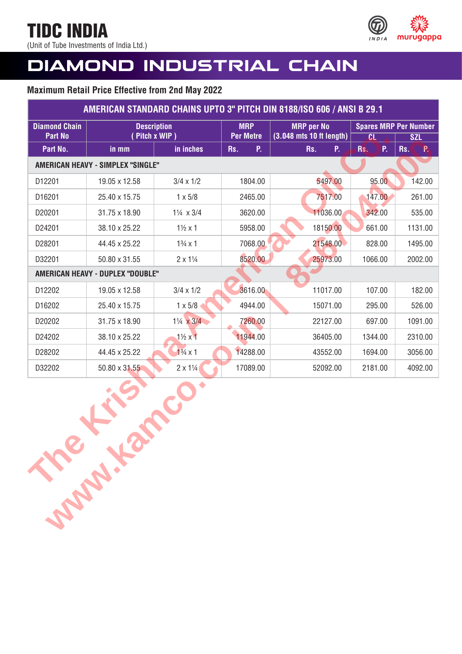(Unit of Tube Investments of India Ltd.)



# **DIAMOND INDUSTRIAL CHAIN**

| AMERICAN STANDARD CHAINS UPTO 3" PITCH DIN 8188/ISO 606 / ANSI B 29.1 |                                          |                           |                                |                                               |                                     |                               |
|-----------------------------------------------------------------------|------------------------------------------|---------------------------|--------------------------------|-----------------------------------------------|-------------------------------------|-------------------------------|
| <b>Diamond Chain</b><br><b>Part No</b>                                | <b>Description</b><br>Pitch x WIP)       |                           | <b>MRP</b><br><b>Per Metre</b> | <b>MRP</b> per No<br>(3.048 mts 10 ft length) |                                     | <b>Spares MRP Per Number</b>  |
| Part No.                                                              | in mm                                    | in inches                 | P.<br>Rs.                      | Rs.<br>P.                                     | $\overline{\text{CL}}$<br>P.<br>Rs. | <b>SZL</b><br><b>P</b><br>Rs. |
|                                                                       | <b>AMERICAN HEAVY - SIMPLEX "SINGLE"</b> |                           |                                |                                               |                                     |                               |
| D12201                                                                | 19.05 x 12.58                            | $3/4 \times 1/2$          | 1804.00                        | 5497.00                                       | 95.00                               | 142.00                        |
| D16201                                                                | 25.40 x 15.75                            | $1 \times 5/8$            | 2465.00                        | 7517.00                                       | 147.00                              | 261.00                        |
| D20201                                                                | 31.75 x 18.90                            | $1\frac{1}{4} \times 3/4$ | 3620.00                        | 11036.00                                      | 342.00                              | 535.00                        |
| D24201                                                                | 38.10 x 25.22                            | $1\frac{1}{2} \times 1$   | 5958.00                        | 18150.00                                      | 661.00                              | 1131.00                       |
| D28201                                                                | 44.45 x 25.22                            | $1\frac{3}{4} \times 1$   | 7068.00                        | 21548.00                                      | 828.00                              | 1495.00                       |
| D32201                                                                | 50.80 x 31.55                            | $2 \times 1\frac{1}{4}$   | 8520.00                        | 25973.00                                      | 1066.00                             | 2002.00                       |
|                                                                       | AMERICAN HEAVY - DUPLEX "DOUBLE"         |                           |                                |                                               |                                     |                               |
| D12202                                                                | 19.05 x 12.58                            | $3/4 \times 1/2$          | 3616.00                        | 11017.00                                      | 107.00                              | 182.00                        |
| D16202                                                                | 25.40 x 15.75                            | $1 \times 5/8$            | 4944.00                        | 15071.00                                      | 295.00                              | 526.00                        |
| D20202                                                                | 31.75 x 18.90                            | $1\frac{1}{4} \times 3/4$ | 7260.00                        | 22127.00                                      | 697.00                              | 1091.00                       |
| D24202                                                                | 38.10 x 25.22                            | $1\frac{1}{2}x$           | 11944.00                       | 36405.00                                      | 1344.00                             | 2310.00                       |
| D28202                                                                | 44.45 x 25.22                            | $1\frac{3}{4} \times 1$   | 14288.00                       | 43552.00                                      | 1694.00                             | 3056.00                       |
| D32202                                                                | 50.80 x 31.55                            | $2 \times 1\frac{1}{4}$   | 17089.00                       | 52092.00                                      | 2181.00                             | 4092.00                       |
| <b>Sample He</b>                                                      |                                          |                           |                                |                                               |                                     |                               |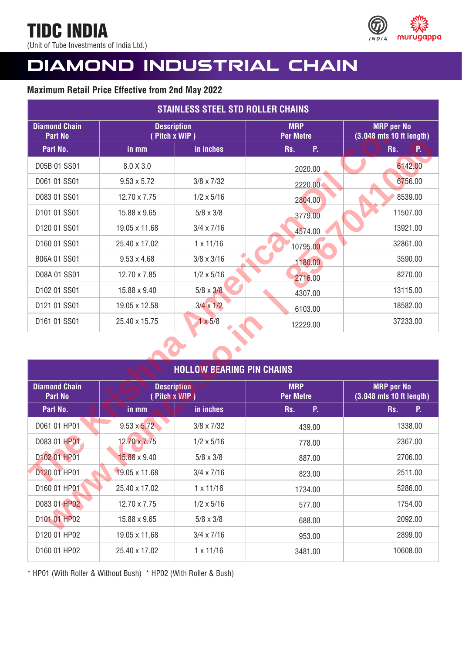(Unit of Tube Investments of India Ltd.)



## **DIAMOND INDUSTRIAL CHAIN**

## **Maximum Retail Price Effective from 2nd May 2022**

| <b>STAINLESS STEEL STD ROLLER CHAINS</b> |                                          |                                  |                                |                                               |  |
|------------------------------------------|------------------------------------------|----------------------------------|--------------------------------|-----------------------------------------------|--|
| <b>Diamond Chain</b><br><b>Part No</b>   | <b>Description</b><br>(Pitch x WIP)      |                                  | <b>MRP</b><br><b>Per Metre</b> | <b>MRP</b> per No<br>(3.048 mts 10 ft length) |  |
| Part No.                                 | in mm                                    | in inches                        | P.<br>Rs.                      | P.<br>Rs.                                     |  |
| D05B 01 SS01                             | 8.0 X 3.0                                |                                  | 2020.00                        | 6142.00                                       |  |
| D061 01 SS01                             | $9.53 \times 5.72$                       | $3/8 \times 7/32$                | 2220.00                        | 6756.00                                       |  |
| D083 01 SS01                             | 12.70 x 7.75                             | $1/2 \times 5/16$                | 2804.00                        | 8539.00                                       |  |
| D101 01 SS01                             | 15.88 x 9.65                             | $5/8 \times 3/8$                 | 3779.00                        | 11507.00                                      |  |
| D120 01 SS01                             | 19.05 x 11.68                            | $3/4 \times 7/16$                | 4574.00                        | 13921.00                                      |  |
| D160 01 SS01                             | 25.40 x 17.02                            | $1 \times 11/16$                 | 10795.00                       | 32861.00                                      |  |
| B06A 01 SS01                             | $9.53 \times 4.68$                       | $3/8 \times 3/16$                | 1180.00                        | 3590.00                                       |  |
| D08A 01 SS01                             | 12.70 x 7.85                             | $1/2 \times 5/16$                | 2716.00                        | 8270.00                                       |  |
| D102 01 SS01                             | 15.88 x 9.40                             | $5/8 \times 3/8$                 | 4307.00                        | 13115.00                                      |  |
| D121 01 SS01                             | 19.05 x 12.58                            | $3/4 \times 1/2$                 | 6103.00                        | 18582.00                                      |  |
| D161 01 SS01                             | 25.40 x 15.75                            | $1 \times 5/8$                   | 12229.00                       | 37233.00                                      |  |
|                                          |                                          |                                  |                                |                                               |  |
|                                          |                                          | <b>HOLLOW BEARING PIN CHAINS</b> |                                |                                               |  |
| <b>Diamond Chain</b><br><b>Part No</b>   | <b>Description</b><br>$($ Pitch x $WIP)$ |                                  | <b>MRP</b><br><b>Per Metre</b> | <b>MRP</b> per No<br>(3.048 mts 10 ft length) |  |
| Part No.                                 | in mm                                    | in inches                        | Rs.<br>P.                      | Rs.<br>P.                                     |  |
| D061 01 HP01                             | $9.53 \times 5.72$                       | $3/8 \times 7/32$                | 439.00                         | 1338.00                                       |  |
| D083 01 HP01                             | 12.70 x 7.75                             | $1/2 \times 5/16$                | 778.00                         | 2367.00                                       |  |
| D102 01 HP01                             | 15.88 x 9.40                             | $5/8 \times 3/8$                 | 887.00                         | 2706.00                                       |  |
| D120 01 HP01                             | 19.05 x 11.68                            | $3/4 \times 7/16$                | 823.00                         | 2511.00                                       |  |
| D160 01 HP01                             | 25.40 x 17.02                            | $1 \times 11/16$                 | 1734.00                        | 5286.00                                       |  |
| D083 01 HP02                             | 12.70 x 7.75                             | $1/2 \times 5/16$                | 577.00                         | 1754.00                                       |  |
| D101 01 HP02                             | 15.88 x 9.65                             | $5/8 \times 3/8$                 | 688.00                         | 2092.00                                       |  |
|                                          |                                          |                                  |                                |                                               |  |

| <b>HOLLOW BEARING PIN CHAINS</b>       |                                     |                   |                                |                                               |  |  |
|----------------------------------------|-------------------------------------|-------------------|--------------------------------|-----------------------------------------------|--|--|
| <b>Diamond Chain</b><br><b>Part No</b> | <b>Description</b><br>(Pitch x WIP) |                   | <b>MRP</b><br><b>Per Metre</b> | <b>MRP</b> per No<br>(3.048 mts 10 ft length) |  |  |
| Part No.                               | in mm                               | in inches         | P.<br>Rs.                      | P.<br>Rs.                                     |  |  |
| D061 01 HP01                           | $9.53 \times 5.72$                  | $3/8 \times 7/32$ | 439.00                         | 1338.00                                       |  |  |
| D083 01 HP01                           | 12.70 x 7.75                        | $1/2 \times 5/16$ | 778.00                         | 2367.00                                       |  |  |
| D102 01 HP01                           | 15.88 x 9.40                        | $5/8 \times 3/8$  | 887.00                         | 2706.00                                       |  |  |
| D120 01 HP01                           | 19.05 x 11.68                       | $3/4 \times 7/16$ | 823.00                         | 2511.00                                       |  |  |
| D160 01 HP01                           | 25.40 x 17.02                       | $1 \times 11/16$  | 1734.00                        | 5286.00                                       |  |  |
| D083 01 HP02                           | 12.70 x 7.75                        | $1/2 \times 5/16$ | 577.00                         | 1754.00                                       |  |  |
| D101 01 HP02                           | 15.88 x 9.65                        | $5/8 \times 3/8$  | 688.00                         | 2092.00                                       |  |  |
| D120 01 HP02                           | 19.05 x 11.68                       | $3/4 \times 7/16$ | 953.00                         | 2899.00                                       |  |  |
| D160 01 HP02                           | 25.40 x 17.02                       | $1 \times 11/16$  | 3481.00                        | 10608.00                                      |  |  |

\* HP01 (With Roller & Without Bush) \* HP02 (With Roller & Bush)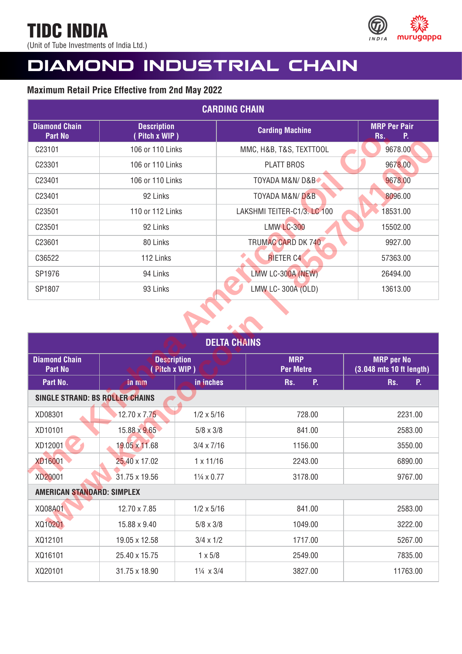(Unit of Tube Investments of India Ltd.)



# **DIAMOND INDUSTRIAL CHAIN**

| <b>CARDING CHAIN</b>                   |                                     |                     |                                |                                               |  |
|----------------------------------------|-------------------------------------|---------------------|--------------------------------|-----------------------------------------------|--|
| <b>Diamond Chain</b><br><b>Part No</b> | <b>Description</b><br>(Pitch x WIP) |                     | <b>Carding Machine</b>         | <b>MRP Per Pair</b><br>P.<br>Rs.              |  |
| C23101                                 | 106 or 110 Links                    |                     | MMC, H&B, T&S, TEXTTOOL        | 9678.00                                       |  |
| C23301                                 | 106 or 110 Links                    |                     | <b>PLATT BROS</b>              | 9678.00                                       |  |
| C23401                                 | 106 or 110 Links                    |                     | TOYADA M&N/D&B                 | 9678.00                                       |  |
| C23401                                 | 92 Links                            |                     | <b>TOYADA M&amp;N/D&amp;B</b>  | 8096.00                                       |  |
| C23501                                 | 110 or 112 Links                    |                     | LAKSHMI TEITER-C1/3. LC 100    | 18531.00                                      |  |
| C23501                                 | 92 Links                            |                     | <b>LMW LC-300</b>              | 15502.00                                      |  |
| C23601                                 | 80 Links                            |                     | <b>TRUMAC CARD DK 740</b>      | 9927.00                                       |  |
| C36522                                 | 112 Links                           |                     | <b>RIETER C4</b>               | 57363.00                                      |  |
| SP1976                                 | 94 Links                            |                     | LMW LC-300A (NEW)              | 26494.00                                      |  |
| SP1807                                 | 93 Links                            |                     | LMW LC-300A (OLD)              | 13613.00                                      |  |
|                                        |                                     |                     |                                |                                               |  |
|                                        |                                     | <b>DELTA CHAINS</b> |                                |                                               |  |
| <b>Diamond Chain</b><br><b>Part No</b> | <b>Description</b><br>(Pitch x WIP) |                     | <b>MRP</b><br><b>Per Metre</b> | <b>MRP</b> per No<br>(3.048 mts 10 ft length) |  |
| Part No.                               | in mm                               | in inches           | P.<br>Rs.                      | P.<br>Rs.                                     |  |
| <b>SINGLE STRAND: BS ROLLER CHAINS</b> |                                     |                     |                                |                                               |  |
| XD08301                                | 12.70 $\times$ 7.75                 | $1/2 \times 5/16$   | 728.00                         | 2231.00                                       |  |
| XD10101                                | 15.88 x 9.65                        | $5/8 \times 3/8$    | 841.00                         | 2583.00                                       |  |
| XD12001                                | 19.05 x 11.68                       | $3/4 \times 7/16$   | 1156.00                        | 3550.00                                       |  |
| <b>XD16001</b>                         | 25.40 x 17.02                       | $1 \times 11/16$    | 2243.00                        | 6890.00                                       |  |
| XD20001                                | 31.75 x 19.56                       | 11/4 x 0.77         | 3178.00                        | 9767.00                                       |  |

| . u. <del>.</del>                      | 11011 A 1117                        |                   |                                    | .                                             |  |  |
|----------------------------------------|-------------------------------------|-------------------|------------------------------------|-----------------------------------------------|--|--|
| C23101                                 | 106 or 110 Links                    |                   | 9678.00<br>MMC, H&B, T&S, TEXTTOOL |                                               |  |  |
| C23301                                 | 106 or 110 Links                    |                   | PLATT BROS                         | 9678.00                                       |  |  |
| C23401                                 | 106 or 110 Links                    |                   | <b>TOYADA M&amp;N/D&amp;B</b>      | 9678.00                                       |  |  |
| C23401                                 | 92 Links                            |                   | <b>TOYADA M&amp;N/D&amp;B</b>      | 8096.00                                       |  |  |
| C23501                                 | 110 or 112 Links                    |                   | LAKSHMI TEITER-C1/3. LC 100        | 18531.00                                      |  |  |
| C23501                                 | 92 Links                            |                   | <b>LMW LC-300</b>                  | 15502.00                                      |  |  |
| C23601                                 | 80 Links                            |                   | <b>TRUMAC CARD DK 740</b>          | 9927.00                                       |  |  |
| C36522                                 | 112 Links                           |                   | <b>RIETER C4</b>                   | 57363.00                                      |  |  |
| SP1976                                 | 94 Links                            |                   | LMW LC-300A (NEW)                  | 26494.00                                      |  |  |
| SP1807                                 | 93 Links                            |                   | LMW LC-300A (OLD)                  | 13613.00                                      |  |  |
| <b>DELTA CHAINS</b>                    |                                     |                   |                                    |                                               |  |  |
|                                        |                                     |                   |                                    |                                               |  |  |
| <b>Diamond Chain</b><br><b>Part No</b> | <b>Description</b><br>(Pitch x WIP) |                   | <b>MRP</b><br><b>Per Metre</b>     | <b>MRP</b> per No<br>(3.048 mts 10 ft length) |  |  |
| Part No.                               | in mm                               | in inches         | P.<br>Rs.                          | Rs.<br>P.                                     |  |  |
| <b>SINGLE STRAND: BS ROLLER CHAINS</b> |                                     |                   |                                    |                                               |  |  |
| XD08301                                | $12.70 \times 7.75$                 | $1/2 \times 5/16$ | 728.00                             | 2231.00                                       |  |  |
| XD10101                                | 15.88 x 9.65                        | $5/8 \times 3/8$  | 841.00                             | 2583.00                                       |  |  |
| XD12001                                | 19.05 x 11.68                       | $3/4 \times 7/16$ | 1156.00                            | 3550.00                                       |  |  |
| <b>XD16001</b>                         | 25.40 x 17.02                       | $1 \times 11/16$  | 2243.00                            | 6890.00                                       |  |  |
| XD20001                                | 31.75 x 19.56                       | 11/4 x 0.77       | 3178.00                            | 9767.00                                       |  |  |
| <b>AMERICAN STANDARD: SIMPLEX</b>      |                                     |                   |                                    |                                               |  |  |
| XQ08A01                                | 12.70 x 7.85                        | $1/2 \times 5/16$ | 841.00                             | 2583.00                                       |  |  |
| XQ10201                                | 15.88 x 9.40                        | $5/8 \times 3/8$  | 1049.00                            | 3222.00                                       |  |  |
| XQ12101                                | 19.05 x 12.58                       | $3/4 \times 1/2$  | 1717.00                            | 5267.00                                       |  |  |
| XQ16101                                | 25.40 x 15.75                       | $1 \times 5/8$    | 2549.00                            | 7835.00                                       |  |  |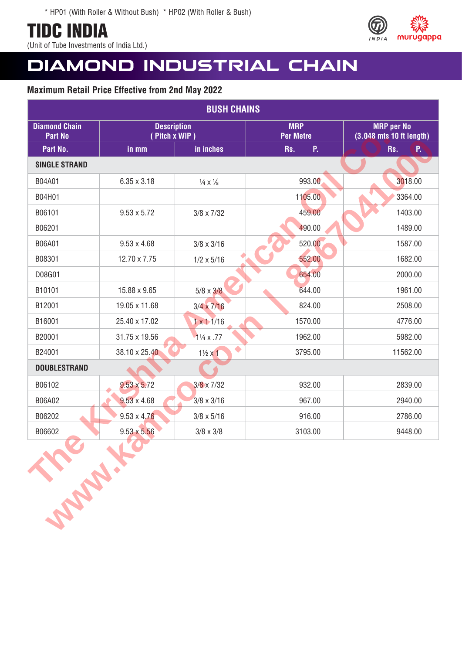(Unit of Tube Investments of India Ltd.)



## **DIAMOND INDUSTRIAL CHAIN**

| <b>BUSH CHAINS</b>                     |                                     |                                  |                                |                                               |  |
|----------------------------------------|-------------------------------------|----------------------------------|--------------------------------|-----------------------------------------------|--|
| <b>Diamond Chain</b><br><b>Part No</b> | <b>Description</b><br>(Pitch x WIP) |                                  | <b>MRP</b><br><b>Per Metre</b> | <b>MRP</b> per No<br>(3.048 mts 10 ft length) |  |
| Part No.                               | in mm                               | in inches                        | P.<br>Rs.                      | P.<br>Rs.                                     |  |
| <b>SINGLE STRAND</b>                   |                                     |                                  |                                |                                               |  |
| B04A01                                 | $6.35 \times 3.18$                  | $\frac{1}{4} \times \frac{1}{8}$ | 993.00                         | 3018.00                                       |  |
| B04H01                                 |                                     |                                  | 1105.00                        | 3364.00                                       |  |
| B06101                                 | $9.53 \times 5.72$                  | $3/8 \times 7/32$                | 459.00                         | 1403.00                                       |  |
| B06201                                 |                                     |                                  | 490.00                         | 1489.00                                       |  |
| B06A01                                 | $9.53 \times 4.68$                  | $3/8 \times 3/16$                | 520.00                         | 1587.00                                       |  |
| B08301                                 | 12.70 x 7.75                        | $1/2 \times 5/16$                | 552.00                         | 1682.00                                       |  |
| D08G01                                 |                                     |                                  | 654.00                         | 2000.00                                       |  |
| B10101                                 | 15.88 x 9.65                        | $5/8 \times 3/8$                 | 644.00                         | 1961.00                                       |  |
| B12001                                 | 19.05 x 11.68                       | $3/4 \times 7/16$                | 824.00                         | 2508.00                                       |  |
| B16001                                 | 25.40 x 17.02                       | $1 \times 11/16$                 | 1570.00                        | 4776.00                                       |  |
| B20001                                 | 31.75 x 19.56                       | $1\frac{1}{4} \times .77$        | 1962.00                        | 5982.00                                       |  |
| B24001                                 | 38.10 x 25.40                       | $\bullet$<br>$1\frac{1}{2}x1$    | 3795.00                        | 11562.00                                      |  |
| <b>DOUBLESTRAND</b>                    |                                     |                                  |                                |                                               |  |
| B06102                                 | $9.53 \times 5.72$                  | $3/8 \times 7/32$                | 932.00                         | 2839.00                                       |  |
| B06A02                                 | $9.53 \times 4.68$                  | $3/8 \times 3/16$                | 967.00                         | 2940.00                                       |  |
| B06202                                 | $9.53 \times 4.76$                  | $3/8 \times 5/16$                | 916.00                         | 2786.00                                       |  |
| B06602                                 | $9.53 \times 5.56$                  | $3/8 \times 3/8$                 | 3103.00                        | 9448.00                                       |  |
| <b>SARAWAY</b>                         |                                     |                                  |                                |                                               |  |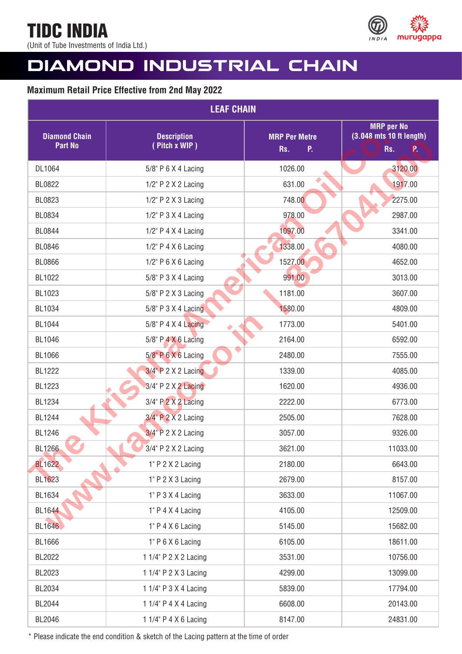(Unit of Tube Investments of India Ltd.)



# **DIAMOND INDUSTRIAL CHAIN**

## **Maximum Retail Price Effective from 2nd May 2022**

| <b>LEAF CHAIN</b>                      |                                     |                                   |                                                            |  |  |
|----------------------------------------|-------------------------------------|-----------------------------------|------------------------------------------------------------|--|--|
| <b>Diamond Chain</b><br><b>Part No</b> | <b>Description</b><br>(Pitch x WIP) | <b>MRP Per Metre</b><br>P.<br>Rs. | <b>MRP</b> per No<br>(3.048 mts 10 ft length)<br>Rs.<br>P. |  |  |
| DL1064                                 | 5/8" P 6 X 4 Lacing                 | 1026.00                           | 3120.00                                                    |  |  |
| <b>BL0822</b>                          | 1/2" P 2 X 2 Lacing                 | 631.00                            | 1917.00                                                    |  |  |
| BL0823                                 | 1/2" P 2 X 3 Lacing                 | 748.00                            | 2275.00                                                    |  |  |
| <b>BL0834</b>                          | $1/2$ " P $3$ X 4 Lacing            | 978.00                            | 2987.00                                                    |  |  |
| <b>BL0844</b>                          | $1/2$ " P 4 X 4 Lacing              | 1097.00                           | 3341.00                                                    |  |  |
| <b>BL0846</b>                          | $1/2$ " P 4 X 6 Lacing              | 1338.00                           | 4080.00                                                    |  |  |
| <b>BL0866</b>                          | 1/2" P 6 X 6 Lacing                 | 1527.00                           | 4652.00                                                    |  |  |
| BL1022                                 | 5/8" P 3 X 4 Lacing                 | 991.00                            | 3013.00                                                    |  |  |
| BL1023                                 | 5/8" P 2 X 3 Lacing                 | 1181.00                           | 3607.00                                                    |  |  |
| BL1034                                 | 5/8" P 3 X 4 Lacing                 | 1580.00                           | 4809.00                                                    |  |  |
| <b>BL1044</b>                          | $5/8$ " P 4 X 4 Lacing              | 1773.00                           | 5401.00                                                    |  |  |
| BL1046                                 | $5/8$ " P $4 \times 6$ Lacing       | 2164.00                           | 6592.00                                                    |  |  |
| <b>BL1066</b>                          | $5/8$ " P 6 X 6 Lacing              | 2480.00                           | 7555.00                                                    |  |  |
| <b>BL1222</b>                          | $3/4$ " P 2 X 2 Lacing              | 1339.00                           | 4085.00                                                    |  |  |
| BL1223                                 | 3/4" P 2 X 2 Lacing                 | 1620.00                           | 4936.00                                                    |  |  |
| <b>BL1234</b>                          | 3/4" P 2 X 2 Lacing                 | 2222.00                           | 6773.00                                                    |  |  |
| <b>BL1244</b>                          | 3/4" P 2 X 2 Lacing                 | 2505.00                           | 7628.00                                                    |  |  |
| <b>BL1246</b>                          | 3/4" P 2 X 2 Lacing                 | 3057.00                           | 9326.00                                                    |  |  |
| <b>BL1266</b>                          | 3/4" P 2 X 2 Lacing                 | 3621.00                           | 11033.00                                                   |  |  |
| <b>BL1622</b>                          | 1" P 2 X 2 Lacing                   | 2180.00                           | 6643.00                                                    |  |  |
| <b>BL1623</b>                          | 1" P 2 X 3 Lacing                   | 2679.00                           | 8157.00                                                    |  |  |
| BL1634                                 | 1" P 3 X 4 Lacing                   | 3633.00                           | 11067.00                                                   |  |  |
| <b>BL1644</b>                          | 1" P 4 X 4 Lacing                   | 4105.00                           | 12509.00                                                   |  |  |
| <b>BL1646</b>                          | 1" P 4 X 6 Lacing                   | 5145.00                           | 15682.00                                                   |  |  |
| <b>BL1666</b>                          | 1" P 6 X 6 Lacing                   | 6105.00                           | 18611.00                                                   |  |  |
| BL2022                                 | 1 1/4" P 2 X 2 Lacing               | 3531.00                           | 10756.00                                                   |  |  |
| BL2023                                 | 1 1/4" P 2 X 3 Lacing               | 4299.00                           | 13099.00                                                   |  |  |
| BL2034                                 | 1 1/4" P 3 X 4 Lacing               | 5839.00                           | 17794.00                                                   |  |  |
| BL2044                                 | 1 1/4" P 4 X 4 Lacing               | 6608.00                           | 20143.00                                                   |  |  |
| BL2046                                 | 1 1/4" P 4 X 6 Lacing               | 8147.00                           | 24831.00                                                   |  |  |

\* Please indicate the end condition & sketch of the Lacing pattern at the time of order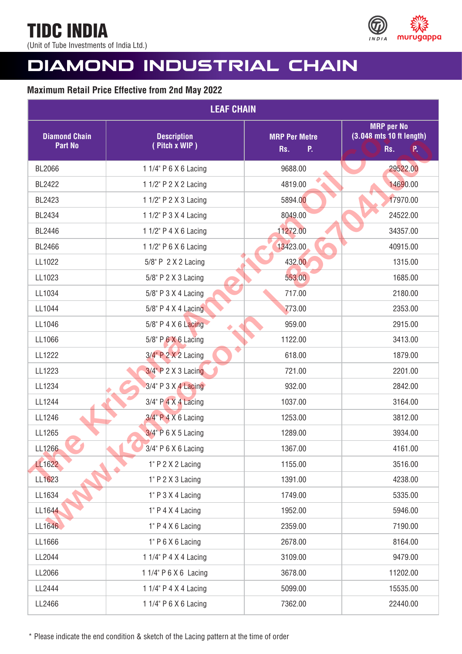(Unit of Tube Investments of India Ltd.)



# **DIAMOND INDUSTRIAL CHAIN**

## **Maximum Retail Price Effective from 2nd May 2022**

| <b>LEAF CHAIN</b>                      |                                     |                                   |                                                              |  |  |
|----------------------------------------|-------------------------------------|-----------------------------------|--------------------------------------------------------------|--|--|
| <b>Diamond Chain</b><br><b>Part No</b> | <b>Description</b><br>(Pitch x WIP) | <b>MRP Per Metre</b><br>P.<br>Rs. | <b>MRP</b> per No<br>$(3.048$ mts 10 ft length)<br>Rs.<br>P. |  |  |
| <b>BL2066</b>                          | 1 1/4" P 6 X 6 Lacing               | 9688.00                           | 29522.00                                                     |  |  |
| <b>BL2422</b>                          | 1 1/2" P 2 X 2 Lacing               | 4819.00                           | 14690.00                                                     |  |  |
| BL2423                                 | 1 1/2" P 2 X 3 Lacing               | 5894.00                           | 17970.00                                                     |  |  |
| <b>BL2434</b>                          | 1 1/2" P 3 X 4 Lacing               | 8049.00                           | 24522.00                                                     |  |  |
| <b>BL2446</b>                          | 1 1/2" P 4 X 6 Lacing               | 11272.00                          | 34357.00                                                     |  |  |
| <b>BL2466</b>                          | 1 1/2" P 6 X 6 Lacing               | 13423.00                          | 40915.00                                                     |  |  |
| LL1022                                 | 5/8" P 2 X 2 Lacing                 | 432.00                            | 1315.00                                                      |  |  |
| LL1023                                 | 5/8" P 2 X 3 Lacing                 | 553.00                            | 1685.00                                                      |  |  |
| LL1034                                 | 5/8" P 3 X 4 Lacing                 | 717.00                            | 2180.00                                                      |  |  |
| LL1044                                 | 5/8" P 4 X 4 Lacing                 | 773.00                            | 2353.00                                                      |  |  |
| LL1046                                 | 5/8" P 4 X 6 Lacing                 | 959.00                            | 2915.00                                                      |  |  |
| LL1066                                 | 5/8" P 6 X 6 Lacing                 | 1122.00                           | 3413.00                                                      |  |  |
| LL1222                                 | $3/4$ " P $2 \times 2$ Lacing       | 618.00                            | 1879.00                                                      |  |  |
| LL1223                                 | $3/4$ " P 2 X 3 Lacing              | 721.00                            | 2201.00                                                      |  |  |
| LL1234                                 | 3/4" P 3 X 4 Lacing                 | 932.00                            | 2842.00                                                      |  |  |
| LL1244                                 | 3/4" P 4 X 4 Lacing                 | 1037.00                           | 3164.00                                                      |  |  |
| LL1246                                 | 3/4" P 4 X 6 Lacing                 | 1253.00                           | 3812.00                                                      |  |  |
| LL1265                                 | 3/4" P 6 X 5 Lacing                 | 1289.00                           | 3934.00                                                      |  |  |
| LL1266                                 | 3/4" P 6 X 6 Lacing                 | 1367.00                           | 4161.00                                                      |  |  |
| LL1622                                 | 1" P 2 X 2 Lacing                   | 1155.00                           | 3516.00                                                      |  |  |
| LL1623                                 | 1" P 2 X 3 Lacing                   | 1391.00                           | 4238.00                                                      |  |  |
| LL1634                                 | 1" P 3 X 4 Lacing                   | 1749.00                           | 5335.00                                                      |  |  |
| LL1644                                 | 1" P 4 X 4 Lacing                   | 1952.00                           | 5946.00                                                      |  |  |
| LL1646                                 | 1" P 4 X 6 Lacing                   | 2359.00                           | 7190.00                                                      |  |  |
| LL1666                                 | 1" P 6 X 6 Lacing                   | 2678.00                           | 8164.00                                                      |  |  |
| LL2044                                 | 1 1/4" P 4 X 4 Lacing               | 3109.00                           | 9479.00                                                      |  |  |
| LL2066                                 | 1 1/4" P 6 X 6 Lacing               | 3678.00                           | 11202.00                                                     |  |  |
| LL2444                                 | 1 1/4" P 4 X 4 Lacing               | 5099.00                           | 15535.00                                                     |  |  |
| LL2466                                 | 1 1/4" P 6 X 6 Lacing               | 7362.00                           | 22440.00                                                     |  |  |

\* Please indicate the end condition & sketch of the Lacing pattern at the time of order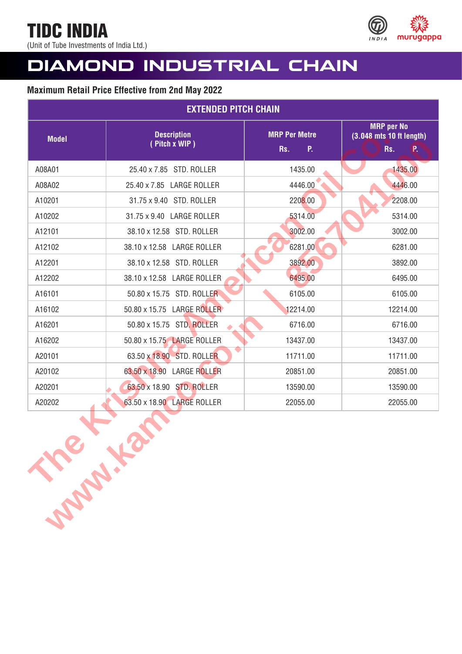TIDC INDIA (Unit of Tube Investments of India Ltd.)



# **DIAMOND INDUSTRIAL CHAIN**

| <b>EXTENDED PITCH CHAIN</b> |                                     |                                   |                                                            |
|-----------------------------|-------------------------------------|-----------------------------------|------------------------------------------------------------|
| <b>Model</b>                | <b>Description</b><br>(Pitch x WIP) | <b>MRP Per Metre</b><br>P.<br>Rs. | <b>MRP</b> per No<br>(3.048 mts 10 ft length)<br>Rs.<br>P. |
| A08A01                      | 25.40 x 7.85 STD. ROLLER            | 1435.00                           | 1435.00                                                    |
| A08A02                      | 25.40 x 7.85 LARGE ROLLER           | 4446.00                           | 4446.00                                                    |
| A10201                      | 31.75 x 9.40 STD. ROLLER            | 2208.00                           | 2208.00                                                    |
| A10202                      | 31.75 x 9.40 LARGE ROLLER           | 5314.00                           | 5314.00                                                    |
| A12101                      | 38.10 x 12.58 STD. ROLLER           | 3002.00                           | 3002.00                                                    |
| A12102                      | 38.10 x 12.58 LARGE ROLLER          | 6281.00                           | 6281.00                                                    |
| A12201                      | 38.10 x 12.58 STD. ROLLER           | 3892.00                           | 3892.00                                                    |
| A12202                      | 38.10 x 12.58 LARGE ROLLER          | 6495.00                           | 6495.00                                                    |
| A16101                      | 50.80 x 15.75 STD. ROLLER           | 6105.00                           | 6105.00                                                    |
| A16102                      | 50.80 x 15.75 LARGE ROLLER          | 12214.00                          | 12214.00                                                   |
| A16201                      | 50.80 x 15.75 STD, ROLLER           | 6716.00                           | 6716.00                                                    |
| A16202                      | 50.80 x 15.75 LARGE ROLLER          | 13437.00                          | 13437.00                                                   |
| A20101                      | 63.50 x 18.90 STD. ROLLER           | 11711.00                          | 11711.00                                                   |
| A20102                      | 63.50 x 18.90 LARGE ROLLER          | 20851.00                          | 20851.00                                                   |
| A20201                      | 63.50 x 18.90 STD. ROLLER           | 13590.00                          | 13590.00                                                   |
| A20202                      | 63.50 x 18.90 LARGE ROLLER          | 22055.00                          | 22055.00                                                   |
| <b>Support</b>              |                                     |                                   |                                                            |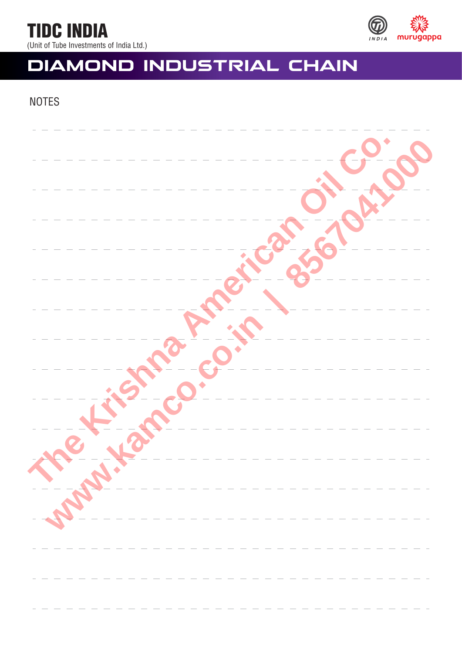

#### (Unit of Tube Investments of India Ltd.)

# **DIAMOND INDUSTRIAL CHAIN**

## **NOTES**